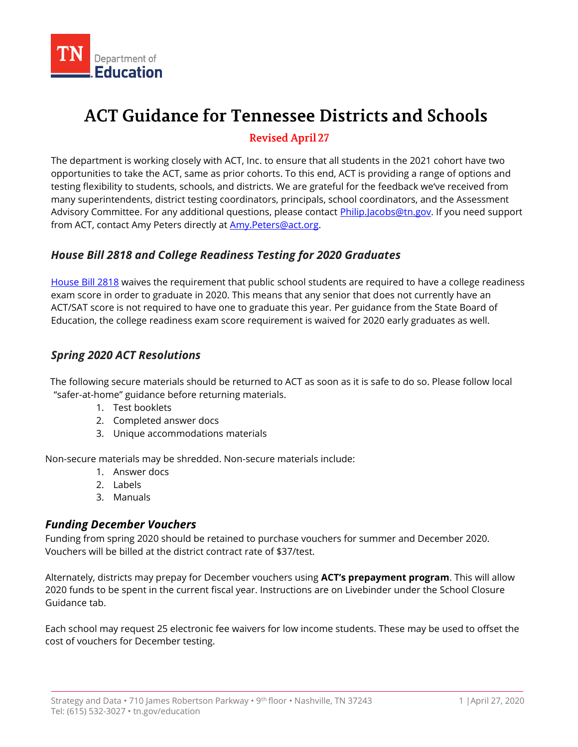

# **ACT Guidance for Tennessee Districts and Schools**

## Revised April 27

 The department is working closely with ACT, Inc. to ensure that all students in the 2021 cohort have two opportunities to take the ACT, same as prior cohorts. To this end, ACT is providing a range of options and testing flexibility to students, schools, and districts. We are grateful for the feedback we've received from many superintendents, district testing coordinators, principals, school coordinators, and the Assessment Advisory Committee. For any additional questions, please contact <u>Philip.Jacobs@tn.gov</u>. If you need support from ACT, contact Amy Peters directly at **Amy.Peters@act.org.** 

## *House Bill 2818 and College Readiness Testing for 2020 Graduates*

[House Bill 2818 w](http://wapp.capitol.tn.gov/apps/BillInfo/Default.aspx?BillNumber=HB2818)aives the requirement that public school students are required to have a college readiness exam score in order to graduate in 2020. This means that any senior that does not currently have an ACT/SAT score is not required to have one to graduate this year. Per guidance from the State Board of Education, the college readiness exam score requirement is waived for 2020 early graduates as well.

## *Spring 2020 ACT Resolutions*

 "safer-at-home" guidance before returning materials. The following secure materials should be returned to ACT as soon as it is safe to do so. Please follow local

- 1. Test booklets
- 2. Completed answer docs
- 3. Unique accommodations materials

Non-secure materials may be shredded. Non-secure materials include:

- 1. Answer docs
- 2. Labels
- 3. Manuals

## *Funding December Vouchers*

 Funding from spring 2020 should be retained to purchase vouchers for summer and December 2020. Vouchers will be billed at the district contract rate of \$37/test.

 Alternately, districts may prepay for December vouchers using **ACT's prepayment program**. This will allow 2020 funds to be spent in the current fiscal year. Instructions are on Livebinder under the School Closure Guidance tab.

 Each school may request 25 electronic fee waivers for low income students. These may be used to offset the cost of vouchers for December testing.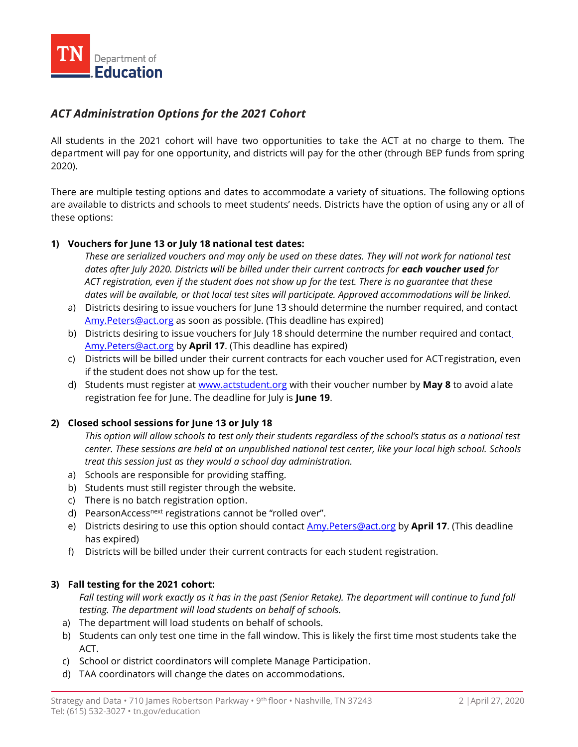

## *ACT Administration Options for the 2021 Cohort*

 All students in the 2021 cohort will have two opportunities to take the ACT at no charge to them. The department will pay for one opportunity, and districts will pay for the other (through BEP funds from spring 2020).

 There are multiple testing options and dates to accommodate a variety of situations. The following options are available to districts and schools to meet students' needs. Districts have the option of using any or all of these options:

#### **1) Vouchers for June 13 or July 18 national test dates:**

 *These are serialized vouchers and may only be used on these dates. They will not work for national test dates after July 2020. Districts will be billed under their current contracts for each voucher used for ACT registration, even if the student does not show up for the test. There is no guarantee that these dates will be available, or that local test sites will participate. Approved accommodations will be linked.* 

- a) Districts desiring to issue vouchers for June 13 should determine the number required, and contac[t](mailto:Amy.Peters@act.org)  [Amy.Peters@act.org a](mailto:Amy.Peters@act.org)s soon as possible. (This deadline has expired)
- b) Districts desiring to issue vouchers for July 18 should determine the number required and contac[t](mailto:Amy.Peters@act.org)  [Amy.Peters@act.org b](mailto:Amy.Peters@act.org)y **April 17**. (This deadline has expired)
- c) Districts will be billed under their current contracts for each voucher used for ACTregistration, even if the student does not show up for the test.
- d) Students must register at [www.actstudent.org w](http://www.actstudent.org/)ith their voucher number by **May 8** to avoid alate registration fee for June. The deadline for July is **June 19**.

#### **2) Closed school sessions for June 13 or July 18**

 *This option will allow schools to test only their students regardless of the school's status as a national test center. These sessions are held at an unpublished national test center, like your local high school. Schools treat this session just as they would a school day administration.* 

- a) Schools are responsible for providing staffing.
- b) Students must still register through the website.
- c) There is no batch registration option.
- d) PearsonAccess<sup>next</sup> registrations cannot be "rolled over".
- e) Districts desiring to use this option should contact [Amy.Peters@act.org b](mailto:Amy.Peters@act.org)y **April 17**. (This deadline has expired)
- f) Districts will be billed under their current contracts for each student registration.

#### **3) Fall testing for the 2021 cohort:**

 *Fall testing will work exactly as it has in the past (Senior Retake). The department will continue to fund fall testing. The department will load students on behalf of schools.* 

- a) The department will load students on behalf of schools.
- b) Students can only test one time in the fall window. This is likely the first time most students take the ACT.
- c) School or district coordinators will complete Manage Participation.
- d) TAA coordinators will change the dates on accommodations.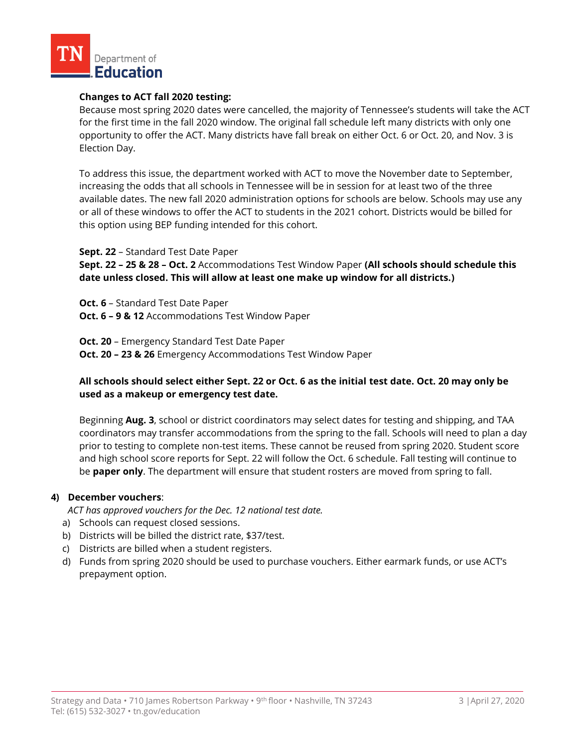

#### **Changes to ACT fall 2020 testing:**

 Because most spring 2020 dates were cancelled, the majority of Tennessee's students will take the ACT for the first time in the fall 2020 window. The original fall schedule left many districts with only one opportunity to offer the ACT. Many districts have fall break on either Oct. 6 or Oct. 20, and Nov. 3 is Election Day.

 To address this issue, the department worked with ACT to move the November date to September, increasing the odds that all schools in Tennessee will be in session for at least two of the three available dates. The new fall 2020 administration options for schools are below. Schools may use any or all of these windows to offer the ACT to students in the 2021 cohort. Districts would be billed for this option using BEP funding intended for this cohort.

**Sept. 22** – Standard Test Date Paper

 **Sept. 22 – 25 & 28 – Oct. 2** Accommodations Test Window Paper **(All schools should schedule this date unless closed. This will allow at least one make up window for all districts.)** 

 **Oct. 6** – Standard Test Date Paper  **Oct. 6 – 9 & 12** Accommodations Test Window Paper

 **Oct. 20** – Emergency Standard Test Date Paper  **Oct. 20 – 23 & 26** Emergency Accommodations Test Window Paper

#### **All schools should select either Sept. 22 or Oct. 6 as the initial test date. Oct. 20 may only be used as a makeup or emergency test date.**

 Beginning **Aug. 3**, school or district coordinators may select dates for testing and shipping, and TAA coordinators may transfer accommodations from the spring to the fall. Schools will need to plan a day prior to testing to complete non-test items. These cannot be reused from spring 2020. Student score and high school score reports for Sept. 22 will follow the Oct. 6 schedule. Fall testing will continue to be **paper only**. The department will ensure that student rosters are moved from spring to fall.

#### **4) December vouchers**:

 *ACT has approved vouchers for the Dec. 12 national test date.* 

- a) Schools can request closed sessions.
- b) Districts will be billed the district rate, \$37/test.
- c) Districts are billed when a student registers.
- d) Funds from spring 2020 should be used to purchase vouchers. Either earmark funds, or use ACT's prepayment option.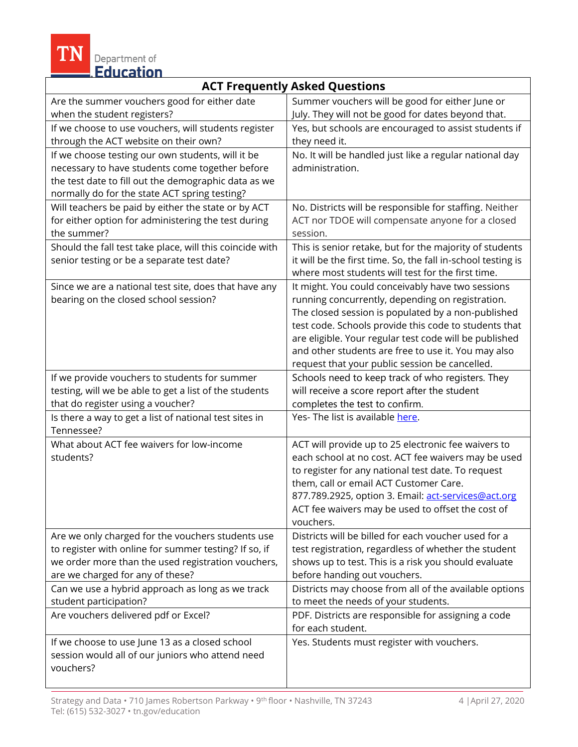**IN** Department of

## **ACT Frequently Asked Questions**

| Are the summer vouchers good for either date<br>when the student registers?                                                                                                                                   | Summer vouchers will be good for either June or<br>July. They will not be good for dates beyond that.                                                                                                                                                                                                                                                                                   |
|---------------------------------------------------------------------------------------------------------------------------------------------------------------------------------------------------------------|-----------------------------------------------------------------------------------------------------------------------------------------------------------------------------------------------------------------------------------------------------------------------------------------------------------------------------------------------------------------------------------------|
| If we choose to use vouchers, will students register<br>through the ACT website on their own?                                                                                                                 | Yes, but schools are encouraged to assist students if<br>they need it.                                                                                                                                                                                                                                                                                                                  |
| If we choose testing our own students, will it be<br>necessary to have students come together before<br>the test date to fill out the demographic data as we<br>normally do for the state ACT spring testing? | No. It will be handled just like a regular national day<br>administration.                                                                                                                                                                                                                                                                                                              |
| Will teachers be paid by either the state or by ACT<br>for either option for administering the test during<br>the summer?                                                                                     | No. Districts will be responsible for staffing. Neither<br>ACT nor TDOE will compensate anyone for a closed<br>session.                                                                                                                                                                                                                                                                 |
| Should the fall test take place, will this coincide with<br>senior testing or be a separate test date?                                                                                                        | This is senior retake, but for the majority of students<br>it will be the first time. So, the fall in-school testing is<br>where most students will test for the first time.                                                                                                                                                                                                            |
| Since we are a national test site, does that have any<br>bearing on the closed school session?                                                                                                                | It might. You could conceivably have two sessions<br>running concurrently, depending on registration.<br>The closed session is populated by a non-published<br>test code. Schools provide this code to students that<br>are eligible. Your regular test code will be published<br>and other students are free to use it. You may also<br>request that your public session be cancelled. |
| If we provide vouchers to students for summer<br>testing, will we be able to get a list of the students<br>that do register using a voucher?                                                                  | Schools need to keep track of who registers. They<br>will receive a score report after the student<br>completes the test to confirm.                                                                                                                                                                                                                                                    |
| Is there a way to get a list of national test sites in<br>Tennessee?                                                                                                                                          | Yes- The list is available here.                                                                                                                                                                                                                                                                                                                                                        |
| What about ACT fee waivers for low-income<br>students?                                                                                                                                                        | ACT will provide up to 25 electronic fee waivers to<br>each school at no cost. ACT fee waivers may be used<br>to register for any national test date. To request<br>them, call or email ACT Customer Care.<br>877.789.2925, option 3. Email: act-services@act.org<br>ACT fee waivers may be used to offset the cost of<br>vouchers.                                                     |
| Are we only charged for the vouchers students use<br>to register with online for summer testing? If so, if<br>we order more than the used registration vouchers,<br>are we charged for any of these?          | Districts will be billed for each voucher used for a<br>test registration, regardless of whether the student<br>shows up to test. This is a risk you should evaluate<br>before handing out vouchers.                                                                                                                                                                                    |
| Can we use a hybrid approach as long as we track<br>student participation?                                                                                                                                    | Districts may choose from all of the available options<br>to meet the needs of your students.                                                                                                                                                                                                                                                                                           |
| Are vouchers delivered pdf or Excel?                                                                                                                                                                          | PDF. Districts are responsible for assigning a code<br>for each student.                                                                                                                                                                                                                                                                                                                |
| If we choose to use June 13 as a closed school<br>session would all of our juniors who attend need<br>vouchers?                                                                                               | Yes. Students must register with vouchers.                                                                                                                                                                                                                                                                                                                                              |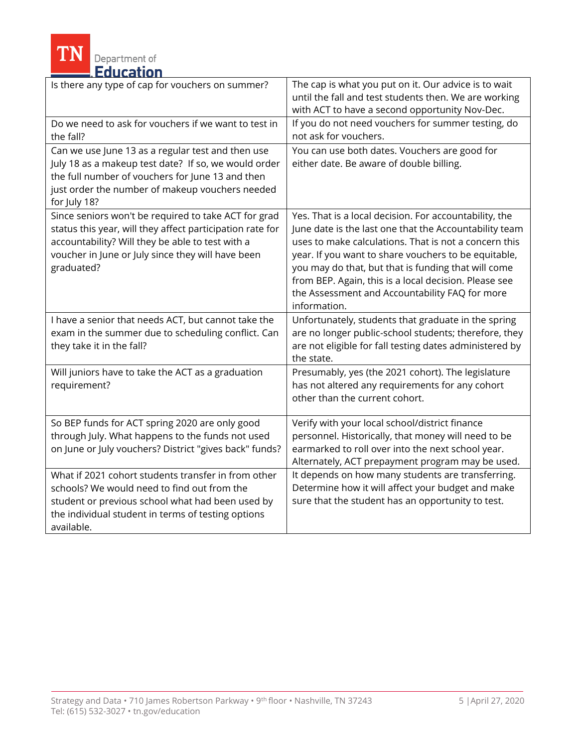**TN** Department of

| Is there any type of cap for vouchers on summer?                                                                                                                                                                                         | The cap is what you put on it. Our advice is to wait<br>until the fall and test students then. We are working<br>with ACT to have a second opportunity Nov-Dec.                                                                                                                                                                                                                                                     |  |
|------------------------------------------------------------------------------------------------------------------------------------------------------------------------------------------------------------------------------------------|---------------------------------------------------------------------------------------------------------------------------------------------------------------------------------------------------------------------------------------------------------------------------------------------------------------------------------------------------------------------------------------------------------------------|--|
| Do we need to ask for vouchers if we want to test in<br>the fall?                                                                                                                                                                        | If you do not need vouchers for summer testing, do<br>not ask for vouchers.                                                                                                                                                                                                                                                                                                                                         |  |
| Can we use June 13 as a regular test and then use<br>July 18 as a makeup test date? If so, we would order<br>the full number of vouchers for June 13 and then<br>just order the number of makeup vouchers needed<br>for July 18?         | You can use both dates. Vouchers are good for<br>either date. Be aware of double billing.                                                                                                                                                                                                                                                                                                                           |  |
| Since seniors won't be required to take ACT for grad<br>status this year, will they affect participation rate for<br>accountability? Will they be able to test with a<br>voucher in June or July since they will have been<br>graduated? | Yes. That is a local decision. For accountability, the<br>June date is the last one that the Accountability team<br>uses to make calculations. That is not a concern this<br>year. If you want to share vouchers to be equitable,<br>you may do that, but that is funding that will come<br>from BEP. Again, this is a local decision. Please see<br>the Assessment and Accountability FAQ for more<br>information. |  |
| I have a senior that needs ACT, but cannot take the<br>exam in the summer due to scheduling conflict. Can<br>they take it in the fall?                                                                                                   | Unfortunately, students that graduate in the spring<br>are no longer public-school students; therefore, they<br>are not eligible for fall testing dates administered by<br>the state.                                                                                                                                                                                                                               |  |
| Will juniors have to take the ACT as a graduation<br>requirement?                                                                                                                                                                        | Presumably, yes (the 2021 cohort). The legislature<br>has not altered any requirements for any cohort<br>other than the current cohort.                                                                                                                                                                                                                                                                             |  |
| So BEP funds for ACT spring 2020 are only good<br>through July. What happens to the funds not used<br>on June or July vouchers? District "gives back" funds?                                                                             | Verify with your local school/district finance<br>personnel. Historically, that money will need to be<br>earmarked to roll over into the next school year.<br>Alternately, ACT prepayment program may be used.                                                                                                                                                                                                      |  |
| What if 2021 cohort students transfer in from other<br>schools? We would need to find out from the<br>student or previous school what had been used by<br>the individual student in terms of testing options<br>available.               | It depends on how many students are transferring.<br>Determine how it will affect your budget and make<br>sure that the student has an opportunity to test.                                                                                                                                                                                                                                                         |  |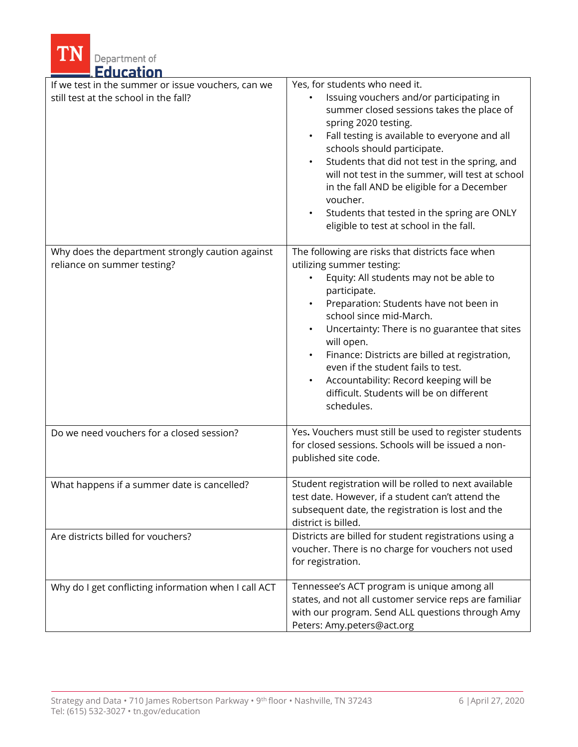| Department of<br><b>Education</b>                                                           |                                                                                                                                                                                                                                                                                                                                                                                                                                                                                          |
|---------------------------------------------------------------------------------------------|------------------------------------------------------------------------------------------------------------------------------------------------------------------------------------------------------------------------------------------------------------------------------------------------------------------------------------------------------------------------------------------------------------------------------------------------------------------------------------------|
| If we test in the summer or issue vouchers, can we<br>still test at the school in the fall? | Yes, for students who need it.<br>Issuing vouchers and/or participating in<br>summer closed sessions takes the place of<br>spring 2020 testing.<br>Fall testing is available to everyone and all<br>schools should participate.<br>Students that did not test in the spring, and<br>will not test in the summer, will test at school<br>in the fall AND be eligible for a December<br>voucher.<br>Students that tested in the spring are ONLY<br>eligible to test at school in the fall. |
| Why does the department strongly caution against<br>reliance on summer testing?             | The following are risks that districts face when<br>utilizing summer testing:<br>Equity: All students may not be able to<br>participate.<br>Preparation: Students have not been in<br>school since mid-March.<br>Uncertainty: There is no guarantee that sites<br>will open.<br>Finance: Districts are billed at registration,<br>even if the student fails to test.<br>Accountability: Record keeping will be<br>difficult. Students will be on different<br>schedules.                 |
| Do we need vouchers for a closed session?                                                   | Yes. Vouchers must still be used to register students<br>for closed sessions. Schools will be issued a non-<br>published site code.                                                                                                                                                                                                                                                                                                                                                      |
| What happens if a summer date is cancelled?                                                 | Student registration will be rolled to next available<br>test date. However, if a student can't attend the<br>subsequent date, the registration is lost and the<br>district is billed.                                                                                                                                                                                                                                                                                                   |
| Are districts billed for vouchers?                                                          | Districts are billed for student registrations using a<br>voucher. There is no charge for vouchers not used<br>for registration.                                                                                                                                                                                                                                                                                                                                                         |
| Why do I get conflicting information when I call ACT                                        | Tennessee's ACT program is unique among all<br>states, and not all customer service reps are familiar<br>with our program. Send ALL questions through Amy<br>Peters: Amy.peters@act.org                                                                                                                                                                                                                                                                                                  |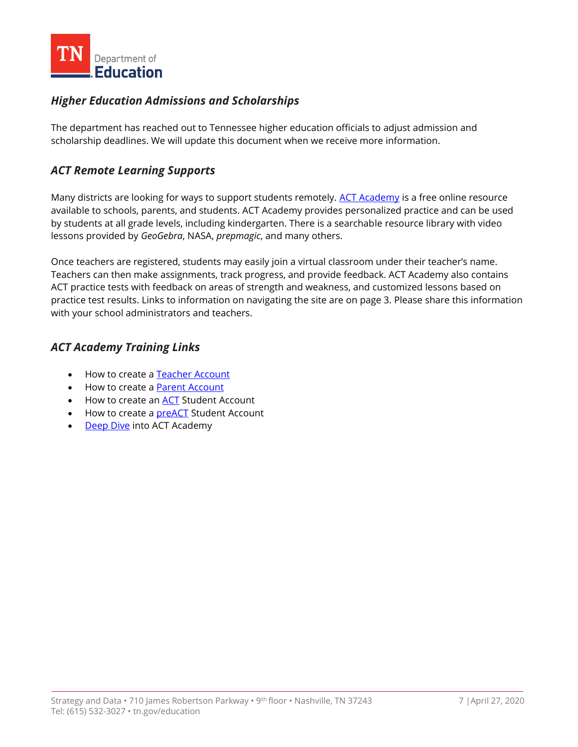

## *Higher Education Admissions and Scholarships*

 The department has reached out to Tennessee higher education officials to adjust admission and scholarship deadlines. We will update this document when we receive more information.

## *ACT Remote Learning Supports*

Many districts are looking for ways to support students remotely. <u>ACT Academy</u> is a free online resource by students at all grade levels, including kindergarten. There is a searchable resource library with video lessons provided by *GeoGebra*, NASA, *prepmagic*, and many others. available to schools, parents, and students. ACT Academy provides personalized practice and can be used

 Once teachers are registered, students may easily join a virtual classroom under their teacher's name. Teachers can then make assignments, track progress, and provide feedback. ACT Academy also contains ACT practice tests with feedback on areas of strength and weakness, and customized lessons based on practice test results. Links to information on navigating the site are on page 3. Please share this information with your school administrators and teachers.

## *ACT Academy Training Links*

- How to create a Teacher Account
- How to create a **Parent Account**
- How to create an **ACT** Student Account
- How to create a **preACT** Student Account
- [Deep Dive in](http://forms.act.org/acttraining/assets/act-academy/deeper-dive/)to ACT Academy